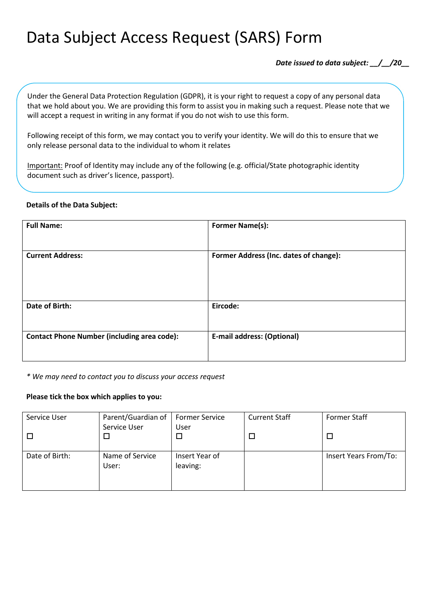# Data Subject Access Request (SARS) Form

*Date issued to data subject: \_\_/\_\_/20\_\_*

Under the General Data Protection Regulation (GDPR), it is your right to request a copy of any personal data that we hold about you. We are providing this form to assist you in making such a request. Please note that we will accept a request in writing in any format if you do not wish to use this form.

Following receipt of this form, we may contact you to verify your identity. We will do this to ensure that we only release personal data to the individual to whom it relates

Important: Proof of Identity may include any of the following (e.g. official/State photographic identity document such as driver's licence, passport).

## **Details of the Data Subject:**

| <b>Full Name:</b>                                  | <b>Former Name(s):</b>                 |
|----------------------------------------------------|----------------------------------------|
| <b>Current Address:</b>                            | Former Address (Inc. dates of change): |
| Date of Birth:                                     | Eircode:                               |
| <b>Contact Phone Number (including area code):</b> | <b>E-mail address: (Optional)</b>      |

*\* We may need to contact you to discuss your access request*

## **Please tick the box which applies to you:**

| Service User   | Parent/Guardian of       | <b>Former Service</b>      | <b>Current Staff</b> | <b>Former Staff</b>   |
|----------------|--------------------------|----------------------------|----------------------|-----------------------|
|                | Service User<br>$\Box$   | User                       |                      |                       |
| Date of Birth: | Name of Service<br>User: | Insert Year of<br>leaving: |                      | Insert Years From/To: |
|                |                          |                            |                      |                       |